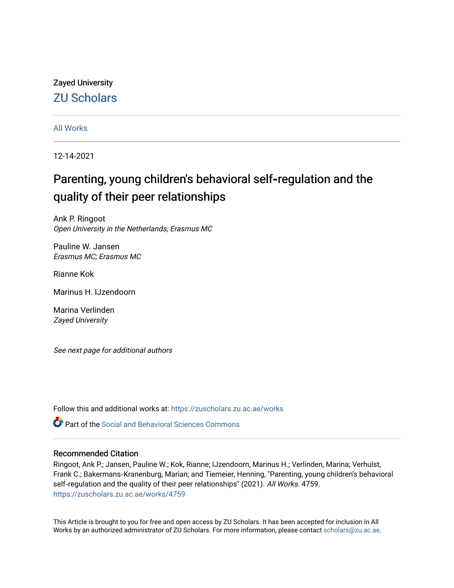## Zayed University [ZU Scholars](https://zuscholars.zu.ac.ae/)

## [All Works](https://zuscholars.zu.ac.ae/works)

12-14-2021

## Parenting, young children's behavioral self-regulation and the quality of their peer relationships

Ank P. Ringoot Open University in the Netherlands; Erasmus MC

Pauline W. Jansen Erasmus MC; Erasmus MC

Rianne Kok

Marinus H. IJzendoorn

Marina Verlinden Zayed University

See next page for additional authors

Follow this and additional works at: [https://zuscholars.zu.ac.ae/works](https://zuscholars.zu.ac.ae/works?utm_source=zuscholars.zu.ac.ae%2Fworks%2F4759&utm_medium=PDF&utm_campaign=PDFCoverPages)

Part of the [Social and Behavioral Sciences Commons](http://network.bepress.com/hgg/discipline/316?utm_source=zuscholars.zu.ac.ae%2Fworks%2F4759&utm_medium=PDF&utm_campaign=PDFCoverPages) 

## Recommended Citation

Ringoot, Ank P.; Jansen, Pauline W.; Kok, Rianne; IJzendoorn, Marinus H.; Verlinden, Marina; Verhulst, Frank C.; Bakermans‐Kranenburg, Marian; and Tiemeier, Henning, "Parenting, young children's behavioral self-regulation and the quality of their peer relationships" (2021). All Works. 4759. [https://zuscholars.zu.ac.ae/works/4759](https://zuscholars.zu.ac.ae/works/4759?utm_source=zuscholars.zu.ac.ae%2Fworks%2F4759&utm_medium=PDF&utm_campaign=PDFCoverPages)

This Article is brought to you for free and open access by ZU Scholars. It has been accepted for inclusion in All Works by an authorized administrator of ZU Scholars. For more information, please contact [scholars@zu.ac.ae](mailto:scholars@zu.ac.ae).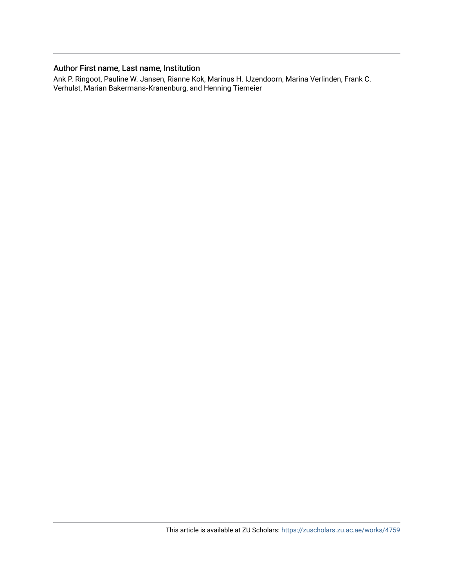## Author First name, Last name, Institution

Ank P. Ringoot, Pauline W. Jansen, Rianne Kok, Marinus H. IJzendoorn, Marina Verlinden, Frank C. Verhulst, Marian Bakermans‐Kranenburg, and Henning Tiemeier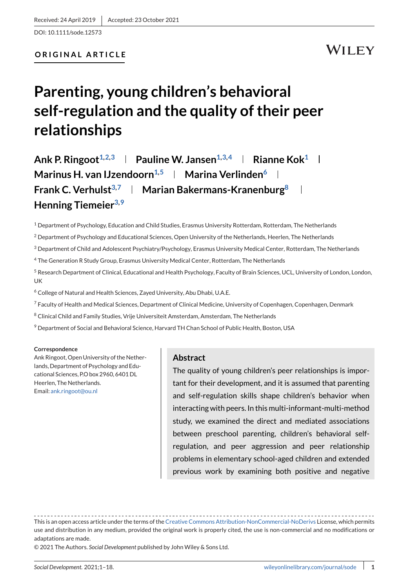## **ORIGINAL ARTICLE**

## **WILEY**

# **Parenting, young children's behavioral self-regulation and the quality of their peer relationships**

**Ank P. Ringoot**<sup>1,2,3</sup> **Pauline W. Jansen**<sup>1,3,4</sup> **Rianne Kok**<sup>1</sup> **P Marinus H. van IJzendoorn<sup>1,5</sup> | Marina Verlinden<sup>6</sup>**  $\perp$ **Frank C. Verhulst**<sup>3,7</sup> **Marian Bakermans-Kranenburg**<sup>8</sup> **I Henning Tiemeier3,9**

<sup>1</sup> Department of Psychology, Education and Child Studies, Erasmus University Rotterdam, Rotterdam, The Netherlands

<sup>2</sup> Department of Psychology and Educational Sciences, Open University of the Netherlands, Heerlen, The Netherlands

<sup>3</sup> Department of Child and Adolescent Psychiatry/Psychology, Erasmus University Medical Center, Rotterdam, The Netherlands

<sup>4</sup> The Generation R Study Group, Erasmus University Medical Center, Rotterdam, The Netherlands

<sup>5</sup> Research Department of Clinical, Educational and Health Psychology, Faculty of Brain Sciences, UCL, University of London, London, UK

<sup>6</sup> College of Natural and Health Sciences, Zayed University, Abu Dhabi, U.A.E.

<sup>7</sup> Faculty of Health and Medical Sciences, Department of Clinical Medicine, University of Copenhagen, Copenhagen, Denmark

<sup>8</sup> Clinical Child and Family Studies, Vrije Universiteit Amsterdam, Amsterdam, The Netherlands

<sup>9</sup> Department of Social and Behavioral Science, Harvard TH Chan School of Public Health, Boston, USA

**Correspondence**

Ank Ringoot, Open University of the Netherlands, Department of Psychology and Educational Sciences, P.O box 2960, 6401 DL Heerlen, The Netherlands. Email: [ank.ringoot@ou.nl](mailto:ank.ringoot@ou.nl)

#### **Abstract**

The quality of young children's peer relationships is important for their development, and it is assumed that parenting and self-regulation skills shape children's behavior when interacting with peers. In this multi-informant-multi-method study, we examined the direct and mediated associations between preschool parenting, children's behavioral selfregulation, and peer aggression and peer relationship problems in elementary school-aged children and extended previous work by examining both positive and negative

This is an open access article under the terms of the [Creative Commons Attribution-NonCommercial-NoDerivs](http://creativecommons.org/licenses/by-nc-nd/4.0/) License, which permits use and distribution in any medium, provided the original work is properly cited, the use is non-commercial and no modifications or adaptations are made.

© 2021 The Authors. *Social Development* published by John Wiley & Sons Ltd.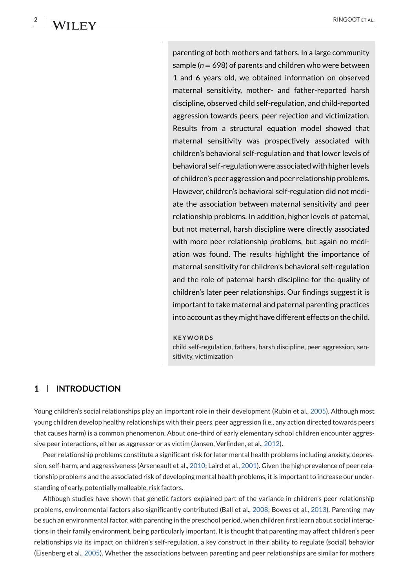parenting of both mothers and fathers. In a large community sample ( $n = 698$ ) of parents and children who were between 1 and 6 years old, we obtained information on observed maternal sensitivity, mother- and father-reported harsh discipline, observed child self-regulation, and child-reported aggression towards peers, peer rejection and victimization. Results from a structural equation model showed that maternal sensitivity was prospectively associated with children's behavioral self-regulation and that lower levels of behavioral self-regulation were associated with higher levels of children's peer aggression and peer relationship problems. However, children's behavioral self-regulation did not mediate the association between maternal sensitivity and peer relationship problems. In addition, higher levels of paternal, but not maternal, harsh discipline were directly associated with more peer relationship problems, but again no mediation was found. The results highlight the importance of maternal sensitivity for children's behavioral self-regulation and the role of paternal harsh discipline for the quality of children's later peer relationships. Our findings suggest it is important to take maternal and paternal parenting practices into account as they might have different effects on the child.

#### **KEYWORDS**

child self-regulation, fathers, harsh discipline, peer aggression, sensitivity, victimization

### **1 INTRODUCTION**

Young children's social relationships play an important role in their development (Rubin et al., [2005\)](#page-18-0). Although most young children develop healthy relationships with their peers, peer aggression (i.e., any action directed towards peers that causes harm) is a common phenomenon. About one-third of early elementary school children encounter aggressive peer interactions, either as aggressor or as victim (Jansen, Verlinden, et al., [2012\)](#page-17-0).

Peer relationship problems constitute a significant risk for later mental health problems including anxiety, depression, self-harm, and aggressiveness (Arseneault et al., [2010;](#page-16-0) Laird et al., [2001\)](#page-18-0). Given the high prevalence of peer relationship problems and the associated risk of developing mental health problems, it is important to increase our understanding of early, potentially malleable, risk factors.

Although studies have shown that genetic factors explained part of the variance in children's peer relationship problems, environmental factors also significantly contributed (Ball et al., [2008;](#page-16-0) Bowes et al., [2013\)](#page-16-0). Parenting may be such an environmental factor, with parenting in the preschool period, when children first learn about social interactions in their family environment, being particularly important. It is thought that parenting may affect children's peer relationships via its impact on children's self-regulation, a key construct in their ability to regulate (social) behavior (Eisenberg et al., [2005\)](#page-17-0). Whether the associations between parenting and peer relationships are similar for mothers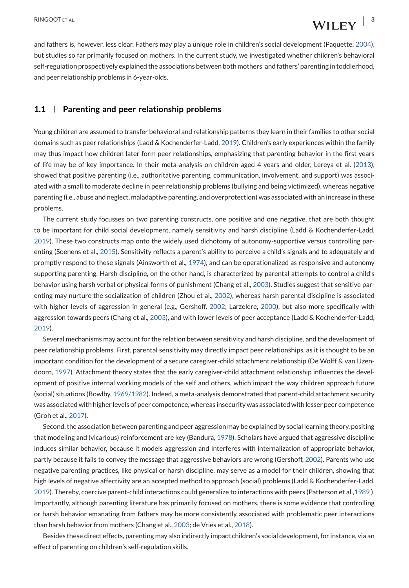and fathers is, however, less clear. Fathers may play a unique role in children's social development (Paquette, [2004\)](#page-18-0),

but studies so far primarily focused on mothers. In the current study, we investigated whether children's behavioral self-regulation prospectively explained the associations between both mothers' and fathers' parenting in toddlerhood, and peer relationship problems in 6-year-olds.

## **1.1 Parenting and peer relationship problems**

Young children are assumed to transfer behavioral and relationship patterns they learn in their families to other social domains such as peer relationships (Ladd & Kochenderfer-Ladd, [2019\)](#page-18-0). Children's early experiences within the family may thus impact how children later form peer relationships, emphasizing that parenting behavior in the first years of life may be of key importance. In their meta-analysis on children aged 4 years and older, Lereya et al. [\(2013\)](#page-18-0), showed that positive parenting (i.e., authoritative parenting, communication, involvement, and support) was associated with a small to moderate decline in peer relationship problems (bullying and being victimized), whereas negative parenting (i.e., abuse and neglect, maladaptive parenting, and overprotection) was associated with an increase in these problems.

The current study focusses on two parenting constructs, one positive and one negative, that are both thought to be important for child social development, namely sensitivity and harsh discipline (Ladd & Kochenderfer-Ladd, [2019\)](#page-18-0). These two constructs map onto the widely used dichotomy of autonomy-supportive versus controlling parenting (Soenens et al., [2015\)](#page-19-0). Sensitivity reflects a parent's ability to perceive a child's signals and to adequately and promptly respond to these signals (Ainsworth et al., [1974\)](#page-16-0), and can be operationalized as responsive and autonomy supporting parenting. Harsh discipline, on the other hand, is characterized by parental attempts to control a child's behavior using harsh verbal or physical forms of punishment (Chang et al., [2003\)](#page-16-0). Studies suggest that sensitive parenting may nurture the socialization of children (Zhou et al., [2002\)](#page-19-0), whereas harsh parental discipline is associated with higher levels of aggression in general (e.g., Gershoff, [2002;](#page-17-0) Larzelere, [2000\)](#page-18-0), but also more specifically with aggression towards peers (Chang et al., [2003\)](#page-16-0), and with lower levels of peer acceptance (Ladd & Kochenderfer-Ladd, [2019\)](#page-18-0).

Several mechanisms may account for the relation between sensitivity and harsh discipline, and the development of peer relationship problems. First, parental sensitivity may directly impact peer relationships, as it is thought to be an important condition for the development of a secure caregiver-child attachment relationship (De Wolff & van IJzendoorn, 1997). Attachment theory states that the early caregiver-child attachment relationship influences the development of positive internal working models of the self and others, which impact the way children approach future (social) situations (Bowlby, [1969/1982\)](#page-16-0). Indeed, a meta-analysis demonstrated that parent-child attachment security was associated with higher levels of peer competence, whereas insecurity was associated with lesser peer competence (Groh et al., [2017\)](#page-17-0).

Second, the association between parenting and peer aggression may be explained by social learning theory, positing that modeling and (vicarious) reinforcement are key (Bandura, [1978\)](#page-16-0). Scholars have argued that aggressive discipline induces similar behavior, because it models aggression and interferes with internalization of appropriate behavior, partly because it fails to convey the message that aggressive behaviors are wrong (Gershoff, [2002\)](#page-17-0). Parents who use negative parenting practices, like physical or harsh discipline, may serve as a model for their children, showing that high levels of negative affectivity are an accepted method to approach (social) problems (Ladd & Kochenderfer-Ladd, [2019\)](#page-18-0). Thereby, coercive parent-child interactions could generalize to interactions with peers (Patterson et al.[,1989](#page-18-0) ). Importantly, although parenting literature has primarily focused on mothers, there is some evidence that controlling or harsh behavior emanating from fathers may be more consistently associated with problematic peer interactions than harsh behavior from mothers (Chang et al., [2003;](#page-16-0) de Vries et al., [2018\)](#page-16-0).

Besides these direct effects, parenting may also indirectly impact children's social development, for instance, via an effect of parenting on children's self-regulation skills.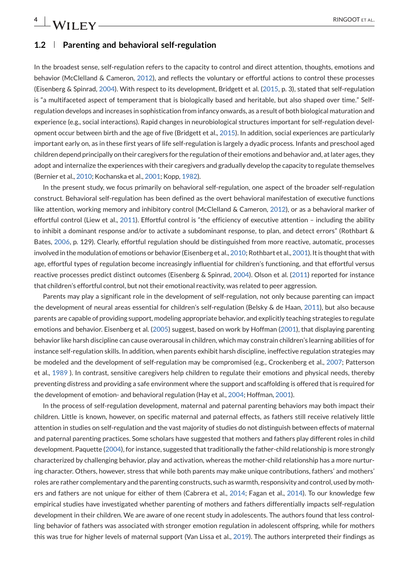**4** RINGOOT ET AL.

### **1.2 Parenting and behavioral self-regulation**

In the broadest sense, self-regulation refers to the capacity to control and direct attention, thoughts, emotions and behavior (McClelland & Cameron, [2012\)](#page-18-0), and reflects the voluntary or effortful actions to control these processes (Eisenberg & Spinrad, [2004\)](#page-17-0). With respect to its development, Bridgett et al. [\(2015,](#page-16-0) p. 3), stated that self-regulation is "a multifaceted aspect of temperament that is biologically based and heritable, but also shaped over time." Selfregulation develops and increases in sophistication from infancy onwards, as a result of both biological maturation and experience (e.g., social interactions). Rapid changes in neurobiological structures important for self-regulation development occur between birth and the age of five (Bridgett et al., [2015\)](#page-16-0). In addition, social experiences are particularly important early on, as in these first years of life self-regulation is largely a dyadic process. Infants and preschool aged children depend principally on their caregivers for the regulation of their emotions and behavior and, at later ages, they adopt and internalize the experiences with their caregivers and gradually develop the capacity to regulate themselves (Bernier et al., [2010;](#page-16-0) Kochanska et al., [2001;](#page-17-0) Kopp, [1982\)](#page-18-0).

In the present study, we focus primarily on behavioral self-regulation, one aspect of the broader self-regulation construct. Behavioral self-regulation has been defined as the overt behavioral manifestation of executive functions like attention, working memory and inhibitory control (McClelland & Cameron, [2012\)](#page-18-0), or as a behavioral marker of effortful control (Liew et al., [2011\)](#page-18-0). Effortful control is "the efficiency of executive attention – including the ability to inhibit a dominant response and/or to activate a subdominant response, to plan, and detect errors" (Rothbart & Bates, [2006,](#page-18-0) p. 129). Clearly, effortful regulation should be distinguished from more reactive, automatic, processes involved in the modulation of emotions or behavior (Eisenberg et al., [2010;](#page-17-0) Rothbart et al., [2001\)](#page-18-0). It is thought that with age, effortful types of regulation become increasingly influential for children's functioning, and that effortful versus reactive processes predict distinct outcomes (Eisenberg & Spinrad, [2004\)](#page-17-0). Olson et al. [\(2011\)](#page-18-0) reported for instance that children's effortful control, but not their emotional reactivity, was related to peer aggression.

Parents may play a significant role in the development of self-regulation, not only because parenting can impact the development of neural areas essential for children's self-regulation (Belsky & de Haan, [2011\)](#page-16-0), but also because parents are capable of providing support, modeling appropriate behavior, and explicitly teaching strategies to regulate emotions and behavior. Eisenberg et al. [\(2005\)](#page-17-0) suggest, based on work by Hoffman [\(2001\)](#page-17-0), that displaying parenting behavior like harsh discipline can cause overarousal in children, which may constrain children's learning abilities of for instance self-regulation skills. In addition, when parents exhibit harsh discipline, ineffective regulation strategies may be modeled and the development of self-regulation may be compromised (e.g., Crockenberg et al., [2007;](#page-16-0) Patterson et al., [1989](#page-18-0) ). In contrast, sensitive caregivers help children to regulate their emotions and physical needs, thereby preventing distress and providing a safe environment where the support and scaffolding is offered that is required for the development of emotion- and behavioral regulation (Hay et al., [2004;](#page-17-0) Hoffman, [2001\)](#page-17-0).

In the process of self-regulation development, maternal and paternal parenting behaviors may both impact their children. Little is known, however, on specific maternal and paternal effects, as fathers still receive relatively little attention in studies on self-regulation and the vast majority of studies do not distinguish between effects of maternal and paternal parenting practices. Some scholars have suggested that mothers and fathers play different roles in child development. Paquette [\(2004\)](#page-18-0), for instance, suggested that traditionally the father-child relationship is more strongly characterized by challenging behavior, play and activation, whereas the mother-child relationship has a more nurturing character. Others, however, stress that while both parents may make unique contributions, fathers' and mothers' roles are rather complementary and the parenting constructs, such as warmth, responsivity and control, used by mothers and fathers are not unique for either of them (Cabrera et al., [2014;](#page-16-0) Fagan et al., [2014\)](#page-17-0). To our knowledge few empirical studies have investigated whether parenting of mothers and fathers differentially impacts self-regulation development in their children. We are aware of one recent study in adolescents. The authors found that less controlling behavior of fathers was associated with stronger emotion regulation in adolescent offspring, while for mothers this was true for higher levels of maternal support (Van Lissa et al., [2019\)](#page-19-0). The authors interpreted their findings as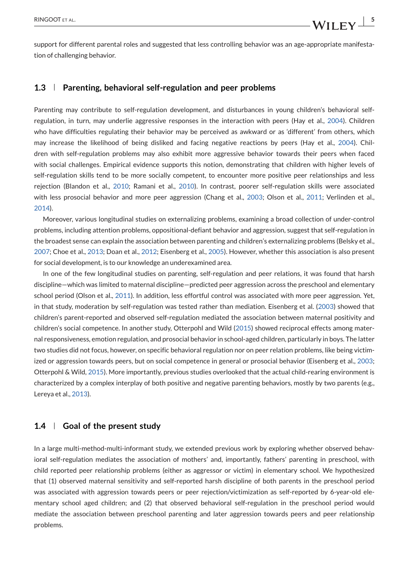support for different parental roles and suggested that less controlling behavior was an age-appropriate manifestation of challenging behavior.

#### **1.3 Parenting, behavioral self-regulation and peer problems**

Parenting may contribute to self-regulation development, and disturbances in young children's behavioral selfregulation, in turn, may underlie aggressive responses in the interaction with peers (Hay et al., [2004\)](#page-17-0). Children who have difficulties regulating their behavior may be perceived as awkward or as 'different' from others, which may increase the likelihood of being disliked and facing negative reactions by peers (Hay et al., [2004\)](#page-17-0). Children with self-regulation problems may also exhibit more aggressive behavior towards their peers when faced with social challenges. Empirical evidence supports this notion, demonstrating that children with higher levels of self-regulation skills tend to be more socially competent, to encounter more positive peer relationships and less rejection (Blandon et al., [2010;](#page-16-0) Ramani et al., [2010\)](#page-18-0). In contrast, poorer self-regulation skills were associated with less prosocial behavior and more peer aggression (Chang et al., [2003;](#page-16-0) Olson et al., [2011;](#page-18-0) Verlinden et al., [2014\)](#page-19-0).

Moreover, various longitudinal studies on externalizing problems, examining a broad collection of under-control problems, including attention problems, oppositional-defiant behavior and aggression, suggest that self-regulation in the broadest sense can explain the association between parenting and children's externalizing problems (Belsky et al., [2007;](#page-16-0) Choe et al., [2013;](#page-16-0) Doan et al., [2012;](#page-17-0) Eisenberg et al., [2005\)](#page-17-0). However, whether this association is also present for social development, is to our knowledge an underexamined area.

In one of the few longitudinal studies on parenting, self-regulation and peer relations, it was found that harsh discipline—which was limited to maternal discipline—predicted peer aggression across the preschool and elementary school period (Olson et al., [2011\)](#page-18-0). In addition, less effortful control was associated with more peer aggression. Yet, in that study, moderation by self-regulation was tested rather than mediation. Eisenberg et al. [\(2003\)](#page-17-0) showed that children's parent-reported and observed self-regulation mediated the association between maternal positivity and children's social competence. In another study, Otterpohl and Wild [\(2015\)](#page-18-0) showed reciprocal effects among maternal responsiveness, emotion regulation, and prosocial behavior in school-aged children, particularly in boys. The latter two studies did not focus, however, on specific behavioral regulation nor on peer relation problems, like being victimized or aggression towards peers, but on social competence in general or prosocial behavior (Eisenberg et al., [2003;](#page-17-0) Otterpohl & Wild, [2015\)](#page-18-0). More importantly, previous studies overlooked that the actual child-rearing environment is characterized by a complex interplay of both positive and negative parenting behaviors, mostly by two parents (e.g., Lereya et al., [2013\)](#page-18-0).

### **1.4 Goal of the present study**

In a large multi-method-multi-informant study, we extended previous work by exploring whether observed behavioral self-regulation mediates the association of mothers' and, importantly, fathers' parenting in preschool, with child reported peer relationship problems (either as aggressor or victim) in elementary school. We hypothesized that (1) observed maternal sensitivity and self-reported harsh discipline of both parents in the preschool period was associated with aggression towards peers or peer rejection/victimization as self-reported by 6-year-old elementary school aged children; and (2) that observed behavioral self-regulation in the preschool period would mediate the association between preschool parenting and later aggression towards peers and peer relationship problems.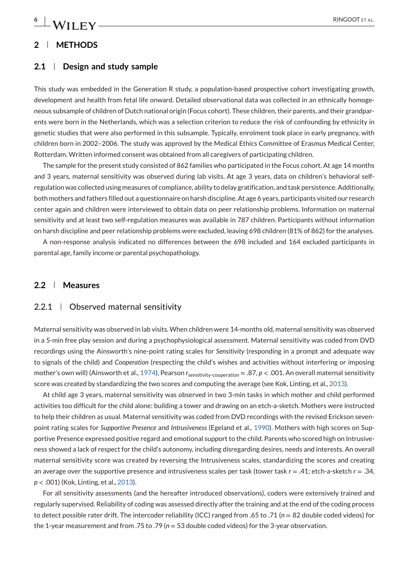#### **2 METHODS**

#### **2.1 Design and study sample**

This study was embedded in the Generation R study, a population-based prospective cohort investigating growth, development and health from fetal life onward. Detailed observational data was collected in an ethnically homogeneous subsample of children of Dutch national origin (Focus cohort). These children, their parents, and their grandparents were born in the Netherlands, which was a selection criterion to reduce the risk of confounding by ethnicity in genetic studies that were also performed in this subsample. Typically, enrolment took place in early pregnancy, with children born in 2002–2006. The study was approved by the Medical Ethics Committee of Erasmus Medical Center, Rotterdam. Written informed consent was obtained from all caregivers of participating children.

The sample for the present study consisted of 862 families who participated in the Focus cohort. At age 14 months and 3 years, maternal sensitivity was observed during lab visits. At age 3 years, data on children's behavioral selfregulation was collected using measures of compliance, ability to delay gratification, and task persistence. Additionally, both mothers and fathers filled out a questionnaire on harsh discipline. At age 6 years, participants visited our research center again and children were interviewed to obtain data on peer relationship problems. Information on maternal sensitivity and at least two self-regulation measures was available in 787 children. Participants without information on harsh discipline and peer relationship problems were excluded, leaving 698 children (81% of 862) for the analyses.

A non-response analysis indicated no differences between the 698 included and 164 excluded participants in parental age, family income or parental psychopathology.

#### **2.2 Measures**

#### 2.2.1 | Observed maternal sensitivity

Maternal sensitivity was observed in lab visits. When children were 14-months old, maternal sensitivity was observed in a 5-min free play session and during a psychophysiological assessment. Maternal sensitivity was coded from DVD recordings using the Ainsworth's nine-point rating scales for *Sensitivity* (responding in a prompt and adequate way to signals of the child) and *Cooperation* (respecting the child's wishes and activities without interfering or imposing mother's own will) (Ainsworth et al., [1974\)](#page-16-0), Pearson r<sub>sensitivity-cooperation</sub> = .87, *p* < .001. An overall maternal sensitivity score was created by standardizing the two scores and computing the average (see Kok, Linting, et al., [2013\)](#page-18-0).

At child age 3 years, maternal sensitivity was observed in two 3-min tasks in which mother and child performed activities too difficult for the child alone: building a tower and drawing on an etch-a-sketch. Mothers were instructed to help their children as usual. Maternal sensitivity was coded from DVD recordings with the revised Erickson sevenpoint rating scales for *Supportive Presence* and *Intrusiveness* (Egeland et al., [1990\)](#page-17-0). Mothers with high scores on Supportive Presence expressed positive regard and emotional support to the child. Parents who scored high on Intrusiveness showed a lack of respect for the child's autonomy, including disregarding desires, needs and interests. An overall maternal sensitivity score was created by reversing the Intrusiveness scales, standardizing the scores and creating an average over the supportive presence and intrusiveness scales per task (tower task *r* = .41; etch-a-sketch *r* = .34, *p* < .001) (Kok, Linting, et al., [2013\)](#page-18-0).

For all sensitivity assessments (and the hereafter introduced observations), coders were extensively trained and regularly supervised. Reliability of coding was assessed directly after the training and at the end of the coding process to detect possible rater drift. The intercoder reliability (ICC) ranged from .65 to .71 (*n* = 82 double coded videos) for the 1-year measurement and from .75 to .79 (*n* = 53 double coded videos) for the 3-year observation.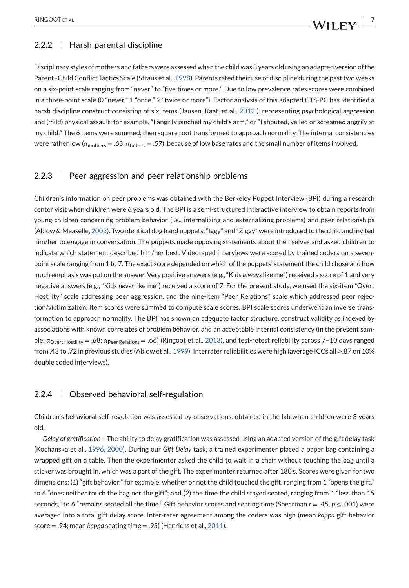## 2.2.2 | Harsh parental discipline

Disciplinary styles of mothers and fathers were assessed when the child was 3 years old using an adapted version of the Parent–Child Conflict Tactics Scale (Straus et al., [1998\)](#page-19-0). Parents rated their use of discipline during the past two weeks on a six-point scale ranging from "never" to "five times or more." Due to low prevalence rates scores were combined in a three-point scale (0 "never," 1 "once," 2 "twice or more"). Factor analysis of this adapted CTS-PC has identified a harsh discipline construct consisting of six items (Jansen, Raat, et al., [2012](#page-17-0) ), representing psychological aggression and (mild) physical assault: for example, "I angrily pinched my child's arm," or "I shouted, yelled or screamed angrily at my child." The 6 items were summed, then square root transformed to approach normality. The internal consistencies were rather low ( $α<sub>mother</sub> = .63; α<sub>fathers</sub> = .57$ ), because of low base rates and the small number of items involved.

#### $2.2.3$  Peer aggression and peer relationship problems

Children's information on peer problems was obtained with the Berkeley Puppet Interview (BPI) during a research center visit when children were 6 years old. The BPI is a semi-structured interactive interview to obtain reports from young children concerning problem behavior (i.e., internalizing and externalizing problems) and peer relationships (Ablow & Measelle, [2003\)](#page-16-0). Two identical dog hand puppets, "Iggy" and "Ziggy" were introduced to the child and invited him/her to engage in conversation. The puppets made opposing statements about themselves and asked children to indicate which statement described him/her best. Videotaped interviews were scored by trained coders on a sevenpoint scale ranging from 1 to 7. The exact score depended on which of the puppets' statement the child chose and how much emphasis was put on the answer. Very positive answers (e.g., "Kids *always*like me") received a score of 1 and very negative answers (e.g., "Kids *never* like me") received a score of 7. For the present study, we used the six-item "Overt Hostility" scale addressing peer aggression, and the nine-item "Peer Relations" scale which addressed peer rejection/victimization. Item scores were summed to compute scale scores. BPI scale scores underwent an inverse transformation to approach normality. The BPI has shown an adequate factor structure, construct validity as indexed by associations with known correlates of problem behavior, and an acceptable internal consistency (in the present sample: *α*Overt Hostility = .68; *α*Peer Relations = .66) (Ringoot et al., [2013\)](#page-18-0), and test-retest reliability across 7–10 days ranged from .43 to .72 in previous studies (Ablow et al., [1999\)](#page-16-0). Interrater reliabilities were high (average ICCs all ≥.87 on 10% double coded interviews).

#### 2.2.4 Cbserved behavioral self-regulation

Children's behavioral self-regulation was assessed by observations, obtained in the lab when children were 3 years old.

*Delay of gratification –* The ability to delay gratification was assessed using an adapted version of the gift delay task (Kochanska et al., [1996, 2000\)](#page-17-0). During our *Gift Delay* task, a trained experimenter placed a paper bag containing a wrapped gift on a table. Then the experimenter asked the child to wait in a chair without touching the bag until a sticker was brought in, which was a part of the gift. The experimenter returned after 180 s. Scores were given for two dimensions: (1) "gift behavior," for example, whether or not the child touched the gift, ranging from 1 "opens the gift," to 6 "does neither touch the bag nor the gift"; and (2) the time the child stayed seated, ranging from 1 "less than 15 seconds," to 6 "remains seated all the time." Gift behavior scores and seating time (Spearman *r* = .45, *p* ≤ .001) were averaged into a total gift delay score. Inter-rater agreement among the coders was high (mean *kappa* gift behavior score = .94; mean *kappa* seating time = .95) (Henrichs et al., [2011\)](#page-17-0).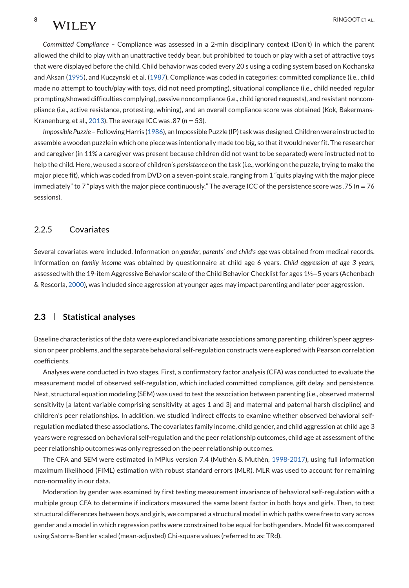*Committed Compliance –* Compliance was assessed in a 2-min disciplinary context (Don't) in which the parent allowed the child to play with an unattractive teddy bear, but prohibited to touch or play with a set of attractive toys that were displayed before the child. Child behavior was coded every 20 s using a coding system based on Kochanska and Aksan [\(1995\)](#page-17-0), and Kuczynski et al. [\(1987\)](#page-18-0). Compliance was coded in categories: committed compliance (i.e., child made no attempt to touch/play with toys, did not need prompting), situational compliance (i.e., child needed regular prompting/showed difficulties complying), passive noncompliance (i.e., child ignored requests), and resistant noncompliance (i.e., active resistance, protesting, whining), and an overall compliance score was obtained (Kok, Bakermans-Kranenburg, et al., [2013\)](#page-17-0). The average ICC was .87 (*n* = 53).

*Impossible Puzzle –* Following Harris [\(1986\)](#page-17-0), an Impossible Puzzle (IP) task was designed. Children were instructed to assemble a wooden puzzle in which one piece was intentionally made too big, so that it would never fit. The researcher and caregiver (in 11% a caregiver was present because children did not want to be separated) were instructed not to help the child. Here, we used a score of children's *persistence* on the task (i.e., working on the puzzle, trying to make the major piece fit), which was coded from DVD on a seven-point scale, ranging from 1 "quits playing with the major piece immediately" to 7 "plays with the major piece continuously." The average ICC of the persistence score was .75 (n = 76 sessions).

#### 2.2.5 Covariates

Several covariates were included. Information on *gender*, *parents' and child's age* was obtained from medical records. Information on *family income* was obtained by questionnaire at child age 6 years. *Child aggression at age 3 years*, assessed with the 19-item Aggressive Behavior scale of the Child Behavior Checklist for ages 1½−5 years (Achenbach & Rescorla, [2000\)](#page-16-0), was included since aggression at younger ages may impact parenting and later peer aggression.

### **2.3 Statistical analyses**

Baseline characteristics of the data were explored and bivariate associations among parenting, children's peer aggression or peer problems, and the separate behavioral self-regulation constructs were explored with Pearson correlation coefficients.

Analyses were conducted in two stages. First, a confirmatory factor analysis (CFA) was conducted to evaluate the measurement model of observed self-regulation, which included committed compliance, gift delay, and persistence. Next, structural equation modeling (SEM) was used to test the association between parenting (i.e., observed maternal sensitivity [a latent variable comprising sensitivity at ages 1 and 3] and maternal and paternal harsh discipline) and children's peer relationships. In addition, we studied indirect effects to examine whether observed behavioral selfregulation mediated these associations. The covariates family income, child gender, and child aggression at child age 3 years were regressed on behavioral self-regulation and the peer relationship outcomes, child age at assessment of the peer relationship outcomes was only regressed on the peer relationship outcomes.

The CFA and SEM were estimated in MPlus version 7.4 (Muthèn & Muthèn, [1998-2017\)](#page-18-0), using full information maximum likelihood (FIML) estimation with robust standard errors (MLR). MLR was used to account for remaining non-normality in our data.

Moderation by gender was examined by first testing measurement invariance of behavioral self-regulation with a multiple group CFA to determine if indicators measured the same latent factor in both boys and girls. Then, to test structural differences between boys and girls, we compared a structural model in which paths were free to vary across gender and a model in which regression paths were constrained to be equal for both genders. Model fit was compared using Satorra-Bentler scaled (mean-adjusted) Chi-square values (referred to as: TRd).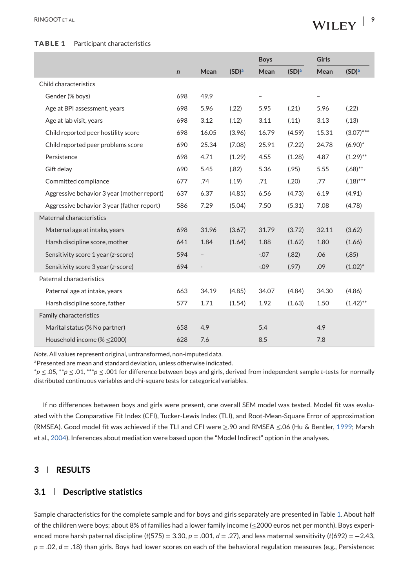#### **TABLE 1** Participant characteristics

|                                            |              |                          |                   | <b>Boys</b> |                   | <b>Girls</b>      |                   |
|--------------------------------------------|--------------|--------------------------|-------------------|-------------|-------------------|-------------------|-------------------|
|                                            | $\mathsf{n}$ | Mean                     | (SD) <sup>a</sup> | Mean        | (SD) <sup>a</sup> | Mean              | (SD) <sup>a</sup> |
| Child characteristics                      |              |                          |                   |             |                   |                   |                   |
| Gender (% boys)                            | 698          | 49.9                     |                   |             |                   | $\qquad \qquad -$ |                   |
| Age at BPI assessment, years               | 698          | 5.96                     | (.22)             | 5.95        | (.21)             | 5.96              | (.22)             |
| Age at lab visit, years                    | 698          | 3.12                     | (.12)             | 3.11        | (.11)             | 3.13              | (.13)             |
| Child reported peer hostility score        | 698          | 16.05                    | (3.96)            | 16.79       | (4.59)            | 15.31             | $(3.07)$ ***      |
| Child reported peer problems score         | 690          | 25.34                    | (7.08)            | 25.91       | (7.22)            | 24.78             | $(6.90)^*$        |
| Persistence                                | 698          | 4.71                     | (1.29)            | 4.55        | (1.28)            | 4.87              | $(1.29)$ **       |
| Gift delay                                 | 690          | 5.45                     | (.82)             | 5.36        | (.95)             | 5.55              | $(.68)$ **        |
| Committed compliance                       | 677          | .74                      | (.19)             | .71         | (.20)             | .77               | $(.18)$ ***       |
| Aggressive behavior 3 year (mother report) | 637          | 6.37                     | (4.85)            | 6.56        | (4.73)            | 6.19              | (4.91)            |
| Aggressive behavior 3 year (father report) | 586          | 7.29                     | (5.04)            | 7.50        | (5.31)            | 7.08              | (4.78)            |
| Maternal characteristics                   |              |                          |                   |             |                   |                   |                   |
| Maternal age at intake, years              | 698          | 31.96                    | (3.67)            | 31.79       | (3.72)            | 32.11             | (3.62)            |
| Harsh discipline score, mother             | 641          | 1.84                     | (1.64)            | 1.88        | (1.62)            | 1.80              | (1.66)            |
| Sensitivity score 1 year (z-score)         | 594          | $\qquad \qquad -$        |                   | $-0.07$     | (.82)             | .06               | (.85)             |
| Sensitivity score 3 year (z-score)         | 694          | $\overline{\phantom{a}}$ |                   | $-0.09$     | (.97)             | .09               | $(1.02)^{*}$      |
| Paternal characteristics                   |              |                          |                   |             |                   |                   |                   |
| Paternal age at intake, years              | 663          | 34.19                    | (4.85)            | 34.07       | (4.84)            | 34.30             | (4.86)            |
| Harsh discipline score, father             | 577          | 1.71                     | (1.54)            | 1.92        | (1.63)            | 1.50              | $(1.42)$ **       |
| Family characteristics                     |              |                          |                   |             |                   |                   |                   |
| Marital status (% No partner)              | 658          | 4.9                      |                   | 5.4         |                   | 4.9               |                   |
| Household income (% < 2000)                | 628          | 7.6                      |                   | 8.5         |                   | 7.8               |                   |

*Note*. All values represent original, untransformed, non-imputed data.

aPresented are mean and standard deviation, unless otherwise indicated.

\**p* ≤ .05, \*\**p* ≤ .01, \*\*\**p* ≤ .001 for difference between boys and girls, derived from independent sample *t*-tests for normally distributed continuous variables and chi-square tests for categorical variables.

If no differences between boys and girls were present, one overall SEM model was tested. Model fit was evaluated with the Comparative Fit Index (CFI), Tucker-Lewis Index (TLI), and Root-Mean-Square Error of approximation (RMSEA). Good model fit was achieved if the TLI and CFI were ≥.90 and RMSEA ≤.06 (Hu & Bentler, [1999;](#page-17-0) Marsh et al., [2004\)](#page-18-0). Inferences about mediation were based upon the "Model Indirect" option in the analyses.

### **3 RESULTS**

#### **3.1 Descriptive statistics**

Sample characteristics for the complete sample and for boys and girls separately are presented in Table 1. About half of the children were boys; about 8% of families had a lower family income (≤2000 euros net per month). Boys experienced more harsh paternal discipline (*t*(575) = 3.30, *p* = .001, *d* = .27), and less maternal sensitivity (*t*(692) = −2.43, *p* = .02, *d* = .18) than girls. Boys had lower scores on each of the behavioral regulation measures (e.g., Persistence: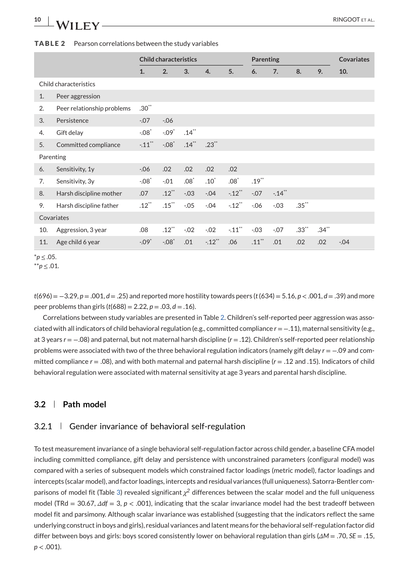| 10<br>the contract of the contract of<br>- | T AL. |
|--------------------------------------------|-------|
| –                                          |       |

|                       |                            | <b>Child characteristics</b> |                     |                     |           |                      | <b>Parenting</b> |                      |            |                     | <b>Covariates</b> |
|-----------------------|----------------------------|------------------------------|---------------------|---------------------|-----------|----------------------|------------------|----------------------|------------|---------------------|-------------------|
|                       |                            | 1.                           | 2.                  | 3.                  | 4.        | 5.                   | 6.               | 7.                   | 8.         | 9.                  | 10.               |
| Child characteristics |                            |                              |                     |                     |           |                      |                  |                      |            |                     |                   |
| 1.                    | Peer aggression            |                              |                     |                     |           |                      |                  |                      |            |                     |                   |
| 2.                    | Peer relationship problems | $.30**$                      |                     |                     |           |                      |                  |                      |            |                     |                   |
| 3.                    | Persistence                | $-0.07$                      | $-06$               |                     |           |                      |                  |                      |            |                     |                   |
| 4.                    | Gift delay                 | $-.08$ <sup>*</sup>          | $-.09"$             | $.14$ <sup>**</sup> |           |                      |                  |                      |            |                     |                   |
| 5.                    | Committed compliance       | $-.11$ <sup>**</sup>         | $-.08$ <sup>*</sup> | $.14***$            | $.23$ **  |                      |                  |                      |            |                     |                   |
| Parenting             |                            |                              |                     |                     |           |                      |                  |                      |            |                     |                   |
| 6.                    | Sensitivity, 1y            | $-06$                        | .02                 | .02                 | .02       | .02                  |                  |                      |            |                     |                   |
| 7.                    | Sensitivity, 3y            | $-.08$ <sup>*</sup>          | $-0.01$             | $.08*$              | $.10*$    | $.08*$               | $.19***$         |                      |            |                     |                   |
| 8.                    | Harsh discipline mother    | .07                          | $.12$ **            | $-0.3$              | $-0.04$   | $-12$ <sup>**</sup>  | $-0.07$          | $-.14$ <sup>**</sup> |            |                     |                   |
| 9.                    | Harsh discipline father    | $.12$ <sup>**</sup>          | $.15***$            | $-0.05$             | $-0.04$   | $-.12$ <sup>**</sup> | $-06$            | $-03$                | $.35***$   |                     |                   |
| Covariates            |                            |                              |                     |                     |           |                      |                  |                      |            |                     |                   |
| 10.                   | Aggression, 3 year         | .08                          | $.12$ <sup>**</sup> | $-0.02$             | $-0.02$   | $-.11$ <sup>**</sup> | $-0.03$          | $-0.07$              | $.33^{**}$ | $.34$ <sup>**</sup> |                   |
| 11.                   | Age child 6 year           | $-.09"$                      | $-.08$ <sup>*</sup> | .01                 | $-.12$ ** | .06                  | $.11***$         | .01                  | .02        | .02                 | $-0.04$           |

#### **TABLE 2** Pearson correlations between the study variables

\*\**p* ≤ .01.

*t*(696) = −3.29, *p* = .001, *d* = .25) and reported more hostility towards peers (*t*(634) = 5.16, *p* < .001, *d* = .39) and more peer problems than girls  $(t(688) = 2.22, p = .03, d = .16)$ .

Correlations between study variables are presented in Table 2. Children's self-reported peer aggression was associated with all indicators of child behavioral regulation (e.g., committed compliance *r* = −.11), maternal sensitivity (e.g., at 3 years *r* = −.08) and paternal, but not maternal harsh discipline (*r* = .12). Children's self-reported peer relationship problems were associated with two of the three behavioral regulation indicators (namely gift delay *r* = −.09 and committed compliance  $r = .08$ ), and with both maternal and paternal harsh discipline  $(r = .12$  and  $.15)$ . Indicators of child behavioral regulation were associated with maternal sensitivity at age 3 years and parental harsh discipline.

## **3.2 Path model**

### 3.2.1 Gender invariance of behavioral self-regulation

To test measurement invariance of a single behavioral self-regulation factor across child gender, a baseline CFA model including committed compliance, gift delay and persistence with unconstrained parameters (configural model) was compared with a series of subsequent models which constrained factor loadings (metric model), factor loadings and intercepts (scalar model), and factor loadings, intercepts and residual variances (full uniqueness). Satorra-Bentler comparisons of model fit (Table [3\)](#page-12-0) revealed significant *χ<sup>2</sup>* differences between the scalar model and the full uniqueness model (TRd = 30.67, *Δdf* = 3, *p* < .001), indicating that the scalar invariance model had the best tradeoff between model fit and parsimony. Although scalar invariance was established (suggesting that the indicators reflect the same underlying construct in boys and girls), residual variances and latent means for the behavioral self-regulation factor did differ between boys and girls: boys scored consistently lower on behavioral regulation than girls (*ΔM* = .70, *SE* = .15,  $p < .001$ ).

 $*p < 0.05$ .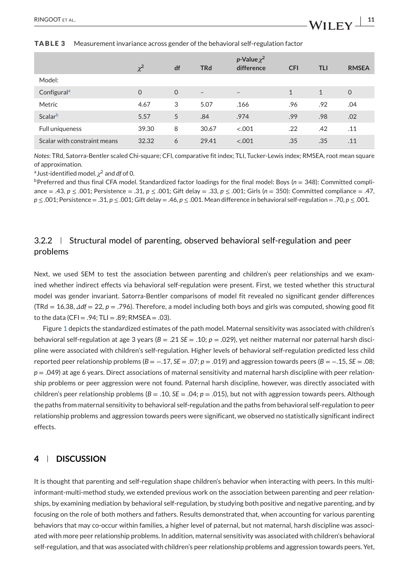#### <span id="page-12-0"></span>**TABLE 3** Measurement invariance across gender of the behavioral self-regulation factor

|                              | $\chi^2$ | df       | <b>TRd</b>               | p-Value $\chi^2$<br>difference | <b>CFI</b>   | tli          | <b>RMSEA</b> |
|------------------------------|----------|----------|--------------------------|--------------------------------|--------------|--------------|--------------|
| Model:                       |          |          |                          |                                |              |              |              |
| Configural <sup>a</sup>      | $\Omega$ | $\Omega$ | $\overline{\phantom{a}}$ | $\qquad \qquad -$              | $\mathbf{1}$ | $\mathbf{1}$ | $\mathbf{0}$ |
| Metric                       | 4.67     | 3        | 5.07                     | .166                           | .96          | .92          | .04          |
| Scalarb                      | 5.57     | 5        | .84                      | .974                           | .99          | .98          | .02          |
| Full uniqueness              | 39.30    | 8        | 30.67                    | < .001                         | .22          | .42          | .11          |
| Scalar with constraint means | 32.32    | 6        | 29.41                    | < .001                         | .35          | .35          | .11          |

*Notes*: TRd, Satorra-Bentler scaled Chi-square; CFI, comparative fit index; TLI, Tucker-Lewis index; RMSEA, root mean square of approximation.

aJust-identified model*. χ*<sup>2</sup> and *df* of 0.

 $b$ Preferred and thus final CFA model. Standardized factor loadings for the final model: Boys ( $n = 348$ ): Committed compliance = .43, *p* ≤ .001; Persistence = .31, *p* ≤ .001; Gift delay = .33, *p* ≤ .001; Girls (*n* = 350): Committed compliance = .47, *p* ≤ .001; Persistence = .31, *p* ≤ .001; Gift delay = .46, *p* ≤ .001. Mean difference in behavioral self-regulation = .70, *p* ≤ .001.

## $3.2.2$  Structural model of parenting, observed behavioral self-regulation and peer problems

Next, we used SEM to test the association between parenting and children's peer relationships and we examined whether indirect effects via behavioral self-regulation were present. First, we tested whether this structural model was gender invariant. Satorra-Bentler comparisons of model fit revealed no significant gender differences (TRd = 16.38, *Δdf* = 22, *p* = .796). Therefore, a model including both boys and girls was computed, showing good fit to the data (CFI =  $.94$ ; TLI =  $.89$ ; RMSEA =  $.03$ ).

Figure [1](#page-13-0) depicts the standardized estimates of the path model. Maternal sensitivity was associated with children's behavioral self-regulation at age 3 years (*B* = .21 *SE* = .10; *p* = .029), yet neither maternal nor paternal harsh discipline were associated with children's self-regulation. Higher levels of behavioral self-regulation predicted less child reported peer relationship problems (*B* = −.17, *SE* = .07; *p* = .019) and aggression towards peers (*B* = −.15, *SE* = .08; *p* = .049) at age 6 years. Direct associations of maternal sensitivity and maternal harsh discipline with peer relationship problems or peer aggression were not found. Paternal harsh discipline, however, was directly associated with children's peer relationship problems (*B* = .10, *SE* = .04; *p* = .015), but not with aggression towards peers. Although the paths from maternal sensitivity to behavioral self-regulation and the paths from behavioral self-regulation to peer relationship problems and aggression towards peers were significant, we observed no statistically significant indirect effects.

#### **4 DISCUSSION**

It is thought that parenting and self-regulation shape children's behavior when interacting with peers. In this multiinformant-multi-method study, we extended previous work on the association between parenting and peer relationships, by examining mediation by behavioral self-regulation, by studying both positive and negative parenting, and by focusing on the role of both mothers and fathers. Results demonstrated that, when accounting for various parenting behaviors that may co-occur within families, a higher level of paternal, but not maternal, harsh discipline was associated with more peer relationship problems. In addition, maternal sensitivity was associated with children's behavioral self-regulation, and that was associated with children's peer relationship problems and aggression towards peers. Yet,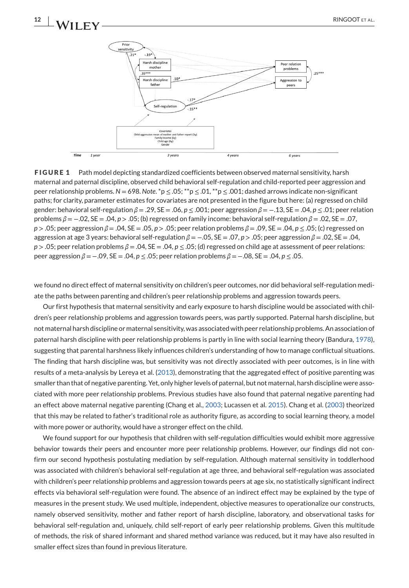<span id="page-13-0"></span>

**FIGURE 1** Path model depicting standardized coefficients between observed maternal sensitivity, harsh maternal and paternal discipline, observed child behavioral self-regulation and child-reported peer aggression and peer relationship problems. *N* = 698. *Note*. \*p ≤ .05; \*\*p ≤ .01, \*\*p ≤ .001; dashed arrows indicate non-significant paths; for clarity, parameter estimates for covariates are not presented in the figure but here: (a) regressed on child gender: behavioral self-regulation *β* = .29, SE = .06, *p* ≤ .001; peer aggression *β* = −.13, SE = .04, *p* ≤ .01; peer relation problems *β* = −.02, SE = .04, *p* > .05; (b) regressed on family income: behavioral self-regulation *β* = .02, SE = .07, *p* > .05; peer aggression *β* = .04, SE = .05, *p* > .05; peer relation problems *β* = .09, SE = .04, *p* ≤ .05; (c) regressed on aggression at age 3 years: behavioral self-regulation *β* = −.05, SE = .07, *p* > .05; peer aggression *β* = .02, SE = .04, *p* > .05; peer relation problems *β* = .04, SE = .04, *p* ≤ .05; (d) regressed on child age at assessment of peer relations: peer aggression *β* = −.09, SE = .04, *p* ≤ .05; peer relation problems *β* = −.08, SE = .04, *p* ≤ .05.

we found no direct effect of maternal sensitivity on children's peer outcomes, nor did behavioral self-regulation mediate the paths between parenting and children's peer relationship problems and aggression towards peers.

Our first hypothesis that maternal sensitivity and early exposure to harsh discipline would be associated with children's peer relationship problems and aggression towards peers, was partly supported. Paternal harsh discipline, but not maternal harsh discipline or maternal sensitivity, was associated with peer relationship problems. An association of paternal harsh discipline with peer relationship problems is partly in line with social learning theory (Bandura, [1978\)](#page-16-0), suggesting that parental harshness likely influences children's understanding of how to manage conflictual situations. The finding that harsh discipline was, but sensitivity was not directly associated with peer outcomes, is in line with results of a meta-analysis by Lereya et al. [\(2013\)](#page-18-0), demonstrating that the aggregated effect of positive parenting was smaller than that of negative parenting. Yet, only higher levels of paternal, but not maternal, harsh discipline were associated with more peer relationship problems. Previous studies have also found that paternal negative parenting had an effect above maternal negative parenting (Chang et al., [2003;](#page-16-0) Lucassen et al. [2015\)](#page-18-0). Chang et al. [\(2003\)](#page-16-0) theorized that this may be related to father's traditional role as authority figure, as according to social learning theory, a model with more power or authority, would have a stronger effect on the child.

We found support for our hypothesis that children with self-regulation difficulties would exhibit more aggressive behavior towards their peers and encounter more peer relationship problems. However, our findings did not confirm our second hypothesis postulating mediation by self-regulation. Although maternal sensitivity in toddlerhood was associated with children's behavioral self-regulation at age three, and behavioral self-regulation was associated with children's peer relationship problems and aggression towards peers at age six, no statistically significant indirect effects via behavioral self-regulation were found. The absence of an indirect effect may be explained by the type of measures in the present study. We used multiple, independent, objective measures to operationalize our constructs, namely observed sensitivity, mother and father report of harsh discipline, laboratory, and observational tasks for behavioral self-regulation and, uniquely, child self-report of early peer relationship problems. Given this multitude of methods, the risk of shared informant and shared method variance was reduced, but it may have also resulted in smaller effect sizes than found in previous literature.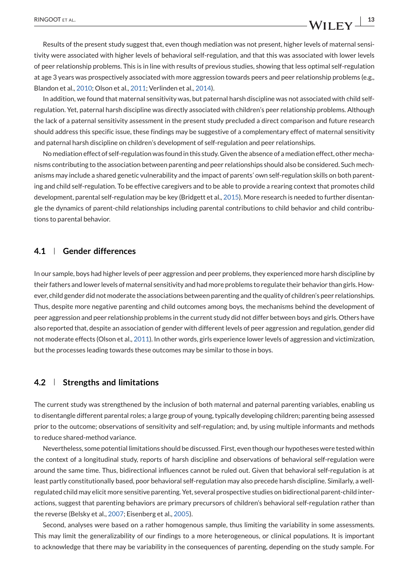Results of the present study suggest that, even though mediation was not present, higher levels of maternal sensitivity were associated with higher levels of behavioral self-regulation, and that this was associated with lower levels of peer relationship problems. This is in line with results of previous studies, showing that less optimal self-regulation at age 3 years was prospectively associated with more aggression towards peers and peer relationship problems (e.g., Blandon et al., [2010;](#page-16-0) Olson et al., [2011;](#page-18-0) Verlinden et al., [2014\)](#page-19-0).

In addition, we found that maternal sensitivity was, but paternal harsh discipline was not associated with child selfregulation. Yet, paternal harsh discipline was directly associated with children's peer relationship problems. Although the lack of a paternal sensitivity assessment in the present study precluded a direct comparison and future research should address this specific issue, these findings may be suggestive of a complementary effect of maternal sensitivity and paternal harsh discipline on children's development of self-regulation and peer relationships.

No mediation effect of self-regulation was found in this study. Given the absence of a mediation effect, other mechanisms contributing to the association between parenting and peer relationships should also be considered. Such mechanisms may include a shared genetic vulnerability and the impact of parents' own self-regulation skills on both parenting and child self-regulation. To be effective caregivers and to be able to provide a rearing context that promotes child development, parental self-regulation may be key (Bridgett et al., [2015\)](#page-16-0). More research is needed to further disentangle the dynamics of parent-child relationships including parental contributions to child behavior and child contributions to parental behavior.

### **4.1 Gender differences**

In our sample, boys had higher levels of peer aggression and peer problems, they experienced more harsh discipline by their fathers and lower levels of maternal sensitivity and had more problems to regulate their behavior than girls. However, child gender did not moderate the associations between parenting and the quality of children's peer relationships. Thus, despite more negative parenting and child outcomes among boys, the mechanisms behind the development of peer aggression and peer relationship problems in the current study did not differ between boys and girls. Others have also reported that, despite an association of gender with different levels of peer aggression and regulation, gender did not moderate effects (Olson et al., [2011\)](#page-18-0). In other words, girls experience lower levels of aggression and victimization, but the processes leading towards these outcomes may be similar to those in boys.

#### **4.2 Strengths and limitations**

The current study was strengthened by the inclusion of both maternal and paternal parenting variables, enabling us to disentangle different parental roles; a large group of young, typically developing children; parenting being assessed prior to the outcome; observations of sensitivity and self-regulation; and, by using multiple informants and methods to reduce shared-method variance.

Nevertheless, some potential limitations should be discussed. First, even though our hypotheses were tested within the context of a longitudinal study, reports of harsh discipline and observations of behavioral self-regulation were around the same time. Thus, bidirectional influences cannot be ruled out. Given that behavioral self-regulation is at least partly constitutionally based, poor behavioral self-regulation may also precede harsh discipline. Similarly, a wellregulated child may elicit more sensitive parenting. Yet, several prospective studies on bidirectional parent-child interactions, suggest that parenting behaviors are primary precursors of children's behavioral self-regulation rather than the reverse (Belsky et al., [2007;](#page-16-0) Eisenberg et al., [2005\)](#page-17-0).

Second, analyses were based on a rather homogenous sample, thus limiting the variability in some assessments. This may limit the generalizability of our findings to a more heterogeneous, or clinical populations. It is important to acknowledge that there may be variability in the consequences of parenting, depending on the study sample. For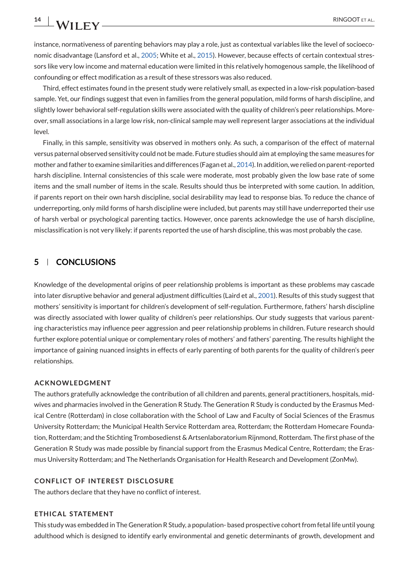instance, normativeness of parenting behaviors may play a role, just as contextual variables like the level of socioeconomic disadvantage (Lansford et al., [2005;](#page-18-0) White et al., [2015\)](#page-19-0). However, because effects of certain contextual stressors like very low income and maternal education were limited in this relatively homogenous sample, the likelihood of confounding or effect modification as a result of these stressors was also reduced.

Third, effect estimates found in the present study were relatively small, as expected in a low-risk population-based sample. Yet, our findings suggest that even in families from the general population, mild forms of harsh discipline, and slightly lower behavioral self-regulation skills were associated with the quality of children's peer relationships. Moreover, small associations in a large low risk, non-clinical sample may well represent larger associations at the individual level.

Finally, in this sample, sensitivity was observed in mothers only. As such, a comparison of the effect of maternal versus paternal observed sensitivity could not be made. Future studies should aim at employing the same measures for mother and father to examine similarities and differences (Fagan et al., [2014\)](#page-17-0). In addition, we relied on parent-reported harsh discipline. Internal consistencies of this scale were moderate, most probably given the low base rate of some items and the small number of items in the scale. Results should thus be interpreted with some caution. In addition, if parents report on their own harsh discipline, social desirability may lead to response bias. To reduce the chance of underreporting, only mild forms of harsh discipline were included, but parents may still have underreported their use of harsh verbal or psychological parenting tactics. However, once parents acknowledge the use of harsh discipline, misclassification is not very likely: if parents reported the use of harsh discipline, this was most probably the case.

### **5 CONCLUSIONS**

Knowledge of the developmental origins of peer relationship problems is important as these problems may cascade into later disruptive behavior and general adjustment difficulties (Laird et al., [2001\)](#page-18-0). Results of this study suggest that mothers' sensitivity is important for children's development of self-regulation. Furthermore, fathers' harsh discipline was directly associated with lower quality of children's peer relationships. Our study suggests that various parenting characteristics may influence peer aggression and peer relationship problems in children. Future research should further explore potential unique or complementary roles of mothers' and fathers' parenting. The results highlight the importance of gaining nuanced insights in effects of early parenting of both parents for the quality of children's peer relationships.

#### **ACKNOWLEDGMENT**

The authors gratefully acknowledge the contribution of all children and parents, general practitioners, hospitals, midwives and pharmacies involved in the Generation R Study. The Generation R Study is conducted by the Erasmus Medical Centre (Rotterdam) in close collaboration with the School of Law and Faculty of Social Sciences of the Erasmus University Rotterdam; the Municipal Health Service Rotterdam area, Rotterdam; the Rotterdam Homecare Foundation, Rotterdam; and the Stichting Trombosedienst & Artsenlaboratorium Rijnmond, Rotterdam. The first phase of the Generation R Study was made possible by financial support from the Erasmus Medical Centre, Rotterdam; the Erasmus University Rotterdam; and The Netherlands Organisation for Health Research and Development (ZonMw).

#### **CONFLICT OF INTEREST DISCLOSURE**

The authors declare that they have no conflict of interest.

#### **ETHICAL STATEMENT**

This study was embedded in The Generation R Study, a population- based prospective cohort from fetal life until young adulthood which is designed to identify early environmental and genetic determinants of growth, development and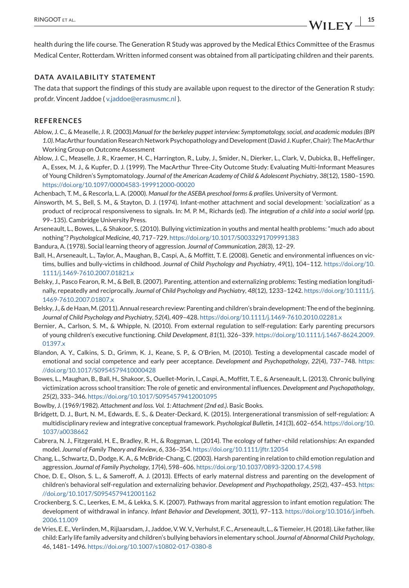<span id="page-16-0"></span>health during the life course. The Generation R Study was approved by the Medical Ethics Committee of the Erasmus Medical Center, Rotterdam. Written informed consent was obtained from all participating children and their parents.

#### **DATA AVAILABILITY STATEMENT**

The data that support the findings of this study are available upon request to the director of the Generation R study: prof.dr. Vincent Jaddoe ( [v.jaddoe@erasmusmc.nl](mailto:v.jaddoe@erasmusmc.nl) ).

#### **REFERENCES**

- Ablow, J. C., & Measelle, J. R. (2003).*Manual for the berkeley puppet interview: Symptomatology, social, and academic modules (BPI 1.0)*.MacArthur foundation Research Network Psychopathology and Development (David J. Kupfer, Chair): TheMacArthur Working Group on Outcome Assessment
- Ablow, J. C., Measelle, J. R., Kraemer, H. C., Harrington, R., Luby, J., Smider, N., Dierker, L., Clark, V., Dubicka, B., Heffelinger, A., Essex, M. J., & Kupfer, D. J. (1999). The MacArthur Three-City Outcome Study: Evaluating Multi-Informant Measures of Young Children's Symptomatology. *Journal of the American Academy of Child & Adolescent Psychiatry*, *38*(12), 1580–1590. <https://doi.org/10.1097/00004583-199912000-00020>

Achenbach, T. M., & Rescorla, L. A. (2000). *Manual for the ASEBA preschool forms & profiles*. University of Vermont.

- Ainsworth, M. S., Bell, S. M., & Stayton, D. J. (1974). Infant-mother attachment and social development: 'socialization' as a product of reciprocal responsiveness to signals. In: M. P. M., Richards (ed). *The integration of a child into a social world* (pp. 99–135). Cambridge University Press.
- Arseneault, L., Bowes, L., & Shakoor, S. (2010). Bullying victimization in youths and mental health problems: "much ado about nothing"? *Psychological Medicine*, *40*, 717–729. <https://doi.org/10.1017/S0033291709991383>
- Bandura, A. (1978). Social learning theory of aggression. *Journal of Communication*, *28*(3), 12–29.
- Ball, H., Arseneault, L., Taylor, A., Maughan, B., Caspi, A., & Moffitt, T. E. (2008). Genetic and environmental influences on victims, bullies and bully-victims in childhood. *Journal of Child Psychology and Psychiatry*, *49*(1), 104–112. [https://doi.org/10.](https://doi.org/10.1111/j.1469-7610.2007.01821.x) [1111/j.1469-7610.2007.01821.x](https://doi.org/10.1111/j.1469-7610.2007.01821.x)
- Belsky, J., Pasco Fearon, R. M., & Bell, B. (2007). Parenting, attention and externalizing problems: Testing mediation longitudinally, repeatedly and reciprocally. *Journal of Child Psychology and Psychiatry*, *48*(12), 1233–1242. [https://doi.org/10.1111/j.](https://doi.org/10.1111/j.1469-7610.2007.01807.x) [1469-7610.2007.01807.x](https://doi.org/10.1111/j.1469-7610.2007.01807.x)
- Belsky, J., & de Haan,M. (2011). Annual research review: Parenting and children's brain development: The end of the beginning. *Journal of Child Psychology and Psychiatry*, *52*(4), 409–428. <https://doi.org/10.1111/j.1469-7610.2010.02281.x>
- Bernier, A., Carlson, S. M., & Whipple, N. (2010). From external regulation to self-regulation: Early parenting precursors of young children's executive functioning. *Child Development*, *81*(1), 326–339. [https://doi.org/10.1111/j.1467-8624.2009.](https://doi.org/10.1111/j.1467-8624.2009.01397.x) [01397.x](https://doi.org/10.1111/j.1467-8624.2009.01397.x)
- Blandon, A. Y., Calkins, S. D., Grimm, K. J., Keane, S. P., & O'Brien, M. (2010). Testing a developmental cascade model of emotional and social competence and early peer acceptance. *Development and Psychopathology*, *22*(4), 737–748. [https:](https://doi.org/10.1017/S0954579410000428) [//doi.org/10.1017/S0954579410000428](https://doi.org/10.1017/S0954579410000428)
- Bowes, L., Maughan, B., Ball, H., Shakoor, S., Ouellet-Morin, I., Caspi, A., Moffitt, T. E., & Arseneault, L. (2013). Chronic bullying victimization across school transition: The role of genetic and environmental influences. *Development and Psychopathology*, *25*(2), 333–346. <https://doi.org/10.1017/S0954579412001095>
- Bowlby, J. (1969/1982). *Attachment and loss. Vol. 1: Attachment (2nd ed.)*. Basic Books.
- Bridgett, D. J., Burt, N. M., Edwards, E. S., & Deater-Deckard, K. (2015). Intergenerational transmission of self-regulation: A multidisciplinary review and integrative conceptual framework. *Psychological Bulletin*, *141*(3), 602–654. [https://doi.org/10.](https://doi.org/10.1037/a0038662) [1037/a0038662](https://doi.org/10.1037/a0038662)
- Cabrera, N. J., Fitzgerald, H. E., Bradley, R. H., & Roggman, L. (2014). The ecology of father–child relationships: An expanded model. *Journal of Family Theory and Review*, *6*, 336–354. <https://doi.org/10.1111/jftr.12054>
- Chang, L., Schwartz, D., Dodge, K. A., & McBride-Chang, C. (2003). Harsh parenting in relation to child emotion regulation and aggression. *Journal of Family Psychology*, *17*(4), 598–606. <https://doi.org/10.1037/0893-3200.17.4.598>
- Choe, D. E., Olson, S. L., & Sameroff, A. J. (2013). Effects of early maternal distress and parenting on the development of children's behavioral self-regulation and externalizing behavior. *Development and Psychopathology*, *25*(2), 437–453. [https:](https://doi.org/10.1017/S0954579412001162) [//doi.org/10.1017/S0954579412001162](https://doi.org/10.1017/S0954579412001162)
- Crockenberg, S. C., Leerkes, E. M., & Lekka, S. K. (2007). Pathways from marital aggression to infant emotion regulation: The development of withdrawal in infancy. *Infant Behavior and Development*, *30*(1), 97–113. [https://doi.org/10.1016/j.infbeh.](https://doi.org/10.1016/j.infbeh.2006.11.009) [2006.11.009](https://doi.org/10.1016/j.infbeh.2006.11.009)
- de Vries, E. E., Verlinden,M., Rijlaarsdam, J., Jaddoe, V.W. V., Verhulst, F. C., Arseneault, L., & Tiemeier, H. (2018). Like father, like child: Early life family adversity and children's bullying behaviors in elementary school. *Journal of Abnormal Child Psychology*, *46*, 1481–1496. <https://doi.org/10.1007/s10802-017-0380-8>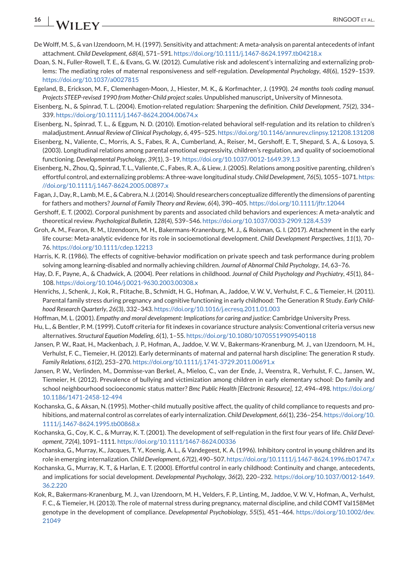## <span id="page-17-0"></span>**16 RINGOOT ET AL.**

- De Wolff, M. S., & van IJzendoorn, M. H. (1997). Sensitivity and attachment: A meta-analysis on parental antecedents of infant attachment. *Child Development*, *68*(4), 571–591. <https://doi.org/10.1111/j.1467-8624.1997.tb04218.x>
- Doan, S. N., Fuller-Rowell, T. E., & Evans, G. W. (2012). Cumulative risk and adolescent's internalizing and externalizing problems: The mediating roles of maternal responsiveness and self-regulation. *Developmental Psychology*, *48*(6), 1529–1539. <https://doi.org/10.1037/a0027815>
- Egeland, B., Erickson, M. F., Clemenhagen-Moon, J., Hiester, M. K., & Korfmachter, J. (1990). *24 months tools coding manual. Projects STEEP-revised 1990 from Mother-Child project scales*. Unpublished manuscript, University of Minnesota.
- Eisenberg, N., & Spinrad, T. L. (2004). Emotion-related regulation: Sharpening the definition. *Child Development*, *75*(2), 334– 339. <https://doi.org/10.1111/j.1467-8624.2004.00674.x>
- Eisenberg, N., Spinrad, T. L., & Eggum, N. D. (2010). Emotion-related behavioral self-regulation and its relation to children's maladjustment. *Annual Review of Clinical Psychology*, *6*, 495–525. <https://doi.org/10.1146/annurev.clinpsy.121208.131208>
- Eisenberg, N., Valiente, C., Morris, A. S., Fabes, R. A., Cumberland, A., Reiser, M., Gershoff, E. T., Shepard, S. A., & Losoya, S. (2003). Longitudinal relations among parental emotional expressivity, children's regulation, and quality of socioemotional functioning. *Developmental Psychology*, *39*(1), 3–19. <https://doi.org/10.1037/0012-1649.39.1.3>
- Eisenberg, N., Zhou, Q., Spinrad, T. L., Valiente, C., Fabes, R. A., & Liew, J. (2005). Relations among positive parenting, children's effortful control, and externalizing problems: A three-wave longitudinal study. *Child Development*, *76*(5), 1055–1071. [https:](https://doi.org/10.1111/j.1467-8624.2005.00897.x) [//doi.org/10.1111/j.1467-8624.2005.00897.x](https://doi.org/10.1111/j.1467-8624.2005.00897.x)
- Fagan, J., Day, R., Lamb,M. E., & Cabrera, N. J. (2014). Should researchers conceptualize differently the dimensions of parenting for fathers and mothers? *Journal of Family Theory and Review*, *6*(4), 390–405. <https://doi.org/10.1111/jftr.12044>
- Gershoff, E. T. (2002). Corporal punishment by parents and associated child behaviors and experiences: A meta-analytic and theoretical review. *Psychological Bulletin*, *128*(4), 539–546. <https://doi.org/10.1037/0033-2909.128.4.539>
- Groh, A. M., Fearon, R. M., IJzendoorn, M. H., Bakermans-Kranenburg, M. J., & Roisman, G. I. (2017). Attachment in the early life course: Meta-analytic evidence for its role in socioemotional development. *Child Development Perspectives*, *11*(1), 70– 76. <https://doi.org/10.1111/cdep.12213>
- Harris, K. R. (1986). The effects of cognitive-behavior modification on private speech and task performance during problem solving among learning-disabled and normally achieving children. *Journal of Abnormal Child Psychology*, *14*, 63–76.
- Hay, D. F., Payne, A., & Chadwick, A. (2004). Peer relations in childhood. *Journal of Child Psychology and Psychiatry*, *45*(1), 84– 108. <https://doi.org/10.1046/j.0021-9630.2003.00308.x>
- Henrichs, J., Schenk, J., Kok, R., Ftitache, B., Schmidt, H. G., Hofman, A., Jaddoe, V. W. V., Verhulst, F. C., & Tiemeier, H. (2011). Parental family stress during pregnancy and cognitive functioning in early childhood: The Generation R Study. *Early Childhood Research Quarterly*, *26*(3), 332–343. <https://doi.org/10.1016/j.ecresq.2011.01.003>
- Hoffman, M. L. (2001). *Empathy and moral development: Implications for caring and justice*: Cambridge University Press.
- Hu, L., & Bentler, P. M. (1999). Cutoff criteria for fit indexes in covariance structure analysis: Conventional criteria versus new alternatives. *Structural Equation Modeling*, *6*(1), 1–55. <https://doi.org/10.1080/10705519909540118>
- Jansen, P. W., Raat, H., Mackenbach, J. P., Hofman, A., Jaddoe, V. W. V., Bakermans-Kranenburg, M. J., van IJzendoorn, M. H., Verhulst, F. C., Tiemeier, H. (2012). Early determinants of maternal and paternal harsh discipline: The generation R study. *Family Relations*, *61*(2), 253–270. <https://doi.org/10.1111/j.1741-3729.2011.00691.x>
- Jansen, P. W., Verlinden, M., Dommisse-van Berkel, A., Mieloo, C., van der Ende, J., Veenstra, R., Verhulst, F. C., Jansen, W., Tiemeier, H. (2012). Prevalence of bullying and victimization among children in early elementary school: Do family and school neighbourhood socioeconomic status matter? *Bmc Public Health [Electronic Resource]*, *12*, 494–498. [https://doi.org/](https://doi.org/10.1186/1471-2458-12-494) [10.1186/1471-2458-12-494](https://doi.org/10.1186/1471-2458-12-494)
- Kochanska, G., & Aksan, N. (1995). Mother-child mutually positive affect, the quality of child compliance to requests and prohibitions, and maternal control as correlates of early internalization. *Child Development*, *66*(1), 236–254. [https://doi.org/10.](https://doi.org/10.1111/j.1467-8624.1995.tb00868.x) [1111/j.1467-8624.1995.tb00868.x](https://doi.org/10.1111/j.1467-8624.1995.tb00868.x)
- Kochanska, G., Coy, K. C., & Murray, K. T. (2001). The development of self-regulation in the first four years of life. *Child Development*, *72*(4), 1091–1111. <https://doi.org/10.1111/1467-8624.00336>
- Kochanska, G., Murray, K., Jacques, T. Y., Koenig, A. L., & Vandegeest, K. A. (1996). Inhibitory control in young children and its role in emerging internalization. *Child Development*, *67*(2), 490–507. <https://doi.org/10.1111/j.1467-8624.1996.tb01747.x>
- Kochanska, G., Murray, K. T., & Harlan, E. T. (2000). Effortful control in early childhood: Continuity and change, antecedents, and implications for social development. *Developmental Psychology*, *36*(2), 220–232. [https://doi.org/10.1037/0012-1649.](https://doi.org/10.1037/0012-1649.36.2.220) [36.2.220](https://doi.org/10.1037/0012-1649.36.2.220)
- Kok, R., Bakermans-Kranenburg, M. J., van IJzendoorn, M. H., Velders, F. P., Linting, M., Jaddoe, V. W. V., Hofman, A., Verhulst, F. C., & Tiemeier, H. (2013). The role of maternal stress during pregnancy, maternal discipline, and child COMT Val158Met genotype in the development of compliance. *Developmental Psychobiology*, *55*(5), 451–464. [https://doi.org/10.1002/dev.](https://doi.org/10.1002/dev.21049) [21049](https://doi.org/10.1002/dev.21049)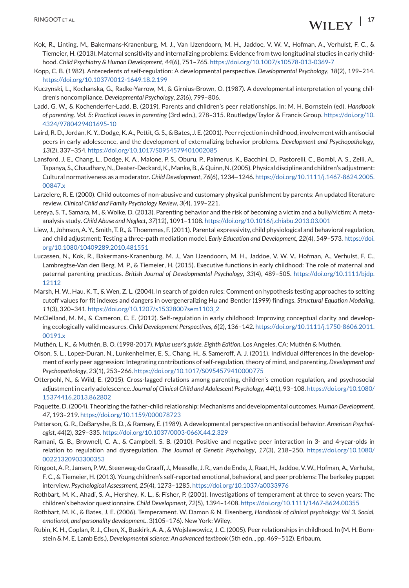- <span id="page-18-0"></span>Kok, R., Linting, M., Bakermans-Kranenburg, M. J., Van IJzendoorn, M. H., Jaddoe, V. W. V., Hofman, A., Verhulst, F. C., & Tiemeier, H. (2013). Maternal sensitivity and internalizing problems: Evidence from two longitudinal studies in early childhood. *Child Psychiatry & Human Development*, *44*(6), 751–765. <https://doi.org/10.1007/s10578-013-0369-7>
- Kopp, C. B. (1982). Antecedents of self-regulation: A developmental perspective. *Developmental Psychology*, *18*(2), 199–214. <https://doi.org/10.1037/0012-1649.18.2.199>
- Kuczynski, L., Kochanska, G., Radke-Yarrow, M., & Girnius-Brown, O. (1987). A developmental interpretation of young children's noncompliance. *Developmental Psychology*, *23*(6), 799–806.
- Ladd, G. W., & Kochenderfer-Ladd, B. (2019). Parents and children's peer relationships. In: M. H. Bornstein (ed). *Handbook of parenting. Vol. 5: Practical issues in parenting* (3rd edn.), 278–315. Routledge/Taylor & Francis Group. [https://doi.org/10.](https://doi.org/10.4324/9780429401695-10) [4324/9780429401695-10](https://doi.org/10.4324/9780429401695-10)
- Laird, R. D., Jordan, K. Y., Dodge, K. A., Pettit, G. S., & Bates, J. E. (2001). Peer rejection in childhood, involvement with antisocial peers in early adolescence, and the development of externalizing behavior problems. *Development and Psychopathology*, *13*(2), 337–354. <https://doi.org/10.1017/S0954579401002085>
- Lansford, J. E., Chang, L., Dodge, K. A., Malone, P. S., Oburu, P., Palmerus, K., Bacchini, D., Pastorelli, C., Bombi, A. S., Zelli, A., Tapanya, S., Chaudhary, N., Deater-Deckard, K.,Manke, B., & Quinn, N. (2005). Physical discipline and children's adjustment: Cultural normativeness as a moderator. *Child Development*, *76*(6), 1234–1246. [https://doi.org/10.1111/j.1467-8624.2005.](https://doi.org/10.1111/j.1467-8624.2005.00847.x) [00847.x](https://doi.org/10.1111/j.1467-8624.2005.00847.x)
- Larzelere, R. E. (2000). Child outcomes of non-abusive and customary physical punishment by parents: An updated literature review. *Clinical Child and Family Psychology Review*, *3*(4), 199–221.
- Lereya, S. T., Samara, M., & Wolke, D. (2013). Parenting behavior and the risk of becoming a victim and a bully/victim: A metaanalysis study. *Child Abuse and Neglect*, *37*(12), 1091–1108. <https://doi.org/10.1016/j.chiabu.2013.03.001>
- Liew, J., Johnson, A. Y., Smith, T. R., & Thoemmes, F. (2011). Parental expressivity, child physiological and behavioral regulation, and child adjustment: Testing a three-path mediation model. *Early Education and Development*, *22*(4), 549–573. [https://doi.](https://doi.org/10.1080/10409289.2010.481551) [org/10.1080/10409289.2010.481551](https://doi.org/10.1080/10409289.2010.481551)
- Lucassen, N., Kok, R., Bakermans-Kranenburg, M. J., Van IJzendoorn, M. H., Jaddoe, V. W. V., Hofman, A., Verhulst, F. C., Lambregtse-Van den Berg, M. P., & Tiemeier, H. (2015). Executive functions in early childhood: The role of maternal and paternal parenting practices. *British Journal of Developmental Psychology*, *33*(4), 489–505. [https://doi.org/10.1111/bjdp.](https://doi.org/10.1111/bjdp.12112) [12112](https://doi.org/10.1111/bjdp.12112)
- Marsh, H. W., Hau, K. T., & Wen, Z. L. (2004). In search of golden rules: Comment on hypothesis testing approaches to setting cutoff values for fit indexes and dangers in overgeneralizing Hu and Bentler (1999) findings. *Structural Equation Modeling*, *11*(3), 320–341. [https://doi.org/10.1207/s15328007sem1103\\_2](https://doi.org/10.1207/s15328007sem1103_2)
- McClelland, M. M., & Cameron, C. E. (2012). Self-regulation in early childhood: Improving conceptual clarity and developing ecologically valid measures. *Child Development Perspectives*, *6*(2), 136–142. [https://doi.org/10.1111/j.1750-8606.2011.](https://doi.org/10.1111/j.1750-8606.2011.00191.x) [00191.x](https://doi.org/10.1111/j.1750-8606.2011.00191.x)
- Muthén, L. K., & Muthén, B. O. (1998-2017). *Mplus user's guide. Eighth Edition*. Los Angeles, CA: Muthén & Muthén.
- Olson, S. L., Lopez-Duran, N., Lunkenheimer, E. S., Chang, H., & Sameroff, A. J. (2011). Individual differences in the development of early peer aggression: Integrating contributions of self-regulation, theory of mind, and parenting. *Development and Psychopathology*, *23*(1), 253–266. <https://doi.org/10.1017/S0954579410000775>
- Otterpohl, N., & Wild, E. (2015). Cross-lagged relations among parenting, children's emotion regulation, and psychosocial adjustment in early adolescence. *Journal of Clinical Child and Adolescent Psychology*, *44*(1), 93–108. [https://doi.org/10.1080/](https://doi.org/10.1080/15374416.2013.862802) [15374416.2013.862802](https://doi.org/10.1080/15374416.2013.862802)
- Paquette, D. (2004). Theorizing the father-child relationship: Mechanisms and developmental outcomes. *Human Development*, *47*, 193–219. <https://doi.org/10.1159/000078723>
- Patterson, G. R., DeBaryshe, B. D., & Ramsey, E. (1989). A developmental perspective on antisocial behavior. *American Psychologist*, *44*(2), 329–335. <https://doi.org/10.1037/0003-066X.44.2.329>
- Ramani, G. B., Brownell, C. A., & Campbell, S. B. (2010). Positive and negative peer interaction in 3- and 4-year-olds in relation to regulation and dysregulation. *The Journal of Genetic Psychology*, *17*(3), 218–250. [https://doi.org/10.1080/](https://doi.org/10.1080/00221320903300353) [00221320903300353](https://doi.org/10.1080/00221320903300353)
- Ringoot, A. P., Jansen, P. W., Steenweg-de Graaff, J., Measelle, J. R., van de Ende, J., Raat, H., Jaddoe, V. W., Hofman, A., Verhulst, F. C., & Tiemeier, H. (2013). Young children's self-reported emotional, behavioral, and peer problems: The berkeley puppet interview. *Psychological Assessment*, *25*(4), 1273–1285. <https://doi.org/10.1037/a0033976>
- Rothbart, M. K., Ahadi, S. A., Hershey, K. L., & Fisher, P. (2001). Investigations of temperament at three to seven years: The children's behavior questionnaire. *Child Development*, *72*(5), 1394–1408. <https://doi.org/10.1111/1467-8624.00355>
- Rothbart, M. K., & Bates, J. E. (2006). Temperament. W. Damon & N. Eisenberg, *Handbook of clinical psychology: Vol 3. Social, emotional, and personality development.*. 3(105–176). New York: Wiley.
- Rubin, K. H., Coplan, R. J., Chen, X., Buskirk, A. A., & Wojslawowicz, J. C. (2005). Peer relationships in childhood. In (M. H. Bornstein & M. E. Lamb Eds.), *Developmental science: An advanced textbook* (5th edn.., pp. 469–512). Erlbaum.